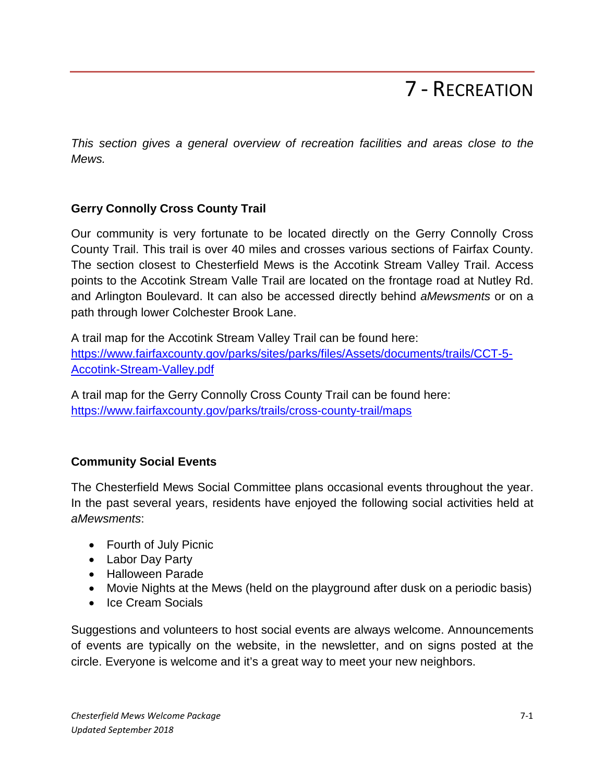# 7 - RECREATION

*This section gives a general overview of recreation facilities and areas close to the Mews.* 

# **Gerry Connolly Cross County Trail**

Our community is very fortunate to be located directly on the Gerry Connolly Cross County Trail. This trail is over 40 miles and crosses various sections of Fairfax County. The section closest to Chesterfield Mews is the Accotink Stream Valley Trail. Access points to the Accotink Stream Valle Trail are located on the frontage road at Nutley Rd. and Arlington Boulevard. It can also be accessed directly behind *aMewsments* or on a path through lower Colchester Brook Lane.

A trail map for the Accotink Stream Valley Trail can be found here: [https://www.fairfaxcounty.gov/parks/sites/parks/files/Assets/documents/trails/CCT-5-](https://www.fairfaxcounty.gov/parks/sites/parks/files/Assets/documents/trails/CCT-5-Accotink-Stream-Valley.pdf) [Accotink-Stream-Valley.pdf](https://www.fairfaxcounty.gov/parks/sites/parks/files/Assets/documents/trails/CCT-5-Accotink-Stream-Valley.pdf)

A trail map for the Gerry Connolly Cross County Trail can be found here: <https://www.fairfaxcounty.gov/parks/trails/cross-county-trail/maps>

# **Community Social Events**

The Chesterfield Mews Social Committee plans occasional events throughout the year. In the past several years, residents have enjoyed the following social activities held at *aMewsments*:

- Fourth of July Picnic
- Labor Day Party
- Halloween Parade
- Movie Nights at the Mews (held on the playground after dusk on a periodic basis)
- Ice Cream Socials

Suggestions and volunteers to host social events are always welcome. Announcements of events are typically on the website, in the newsletter, and on signs posted at the circle. Everyone is welcome and it's a great way to meet your new neighbors.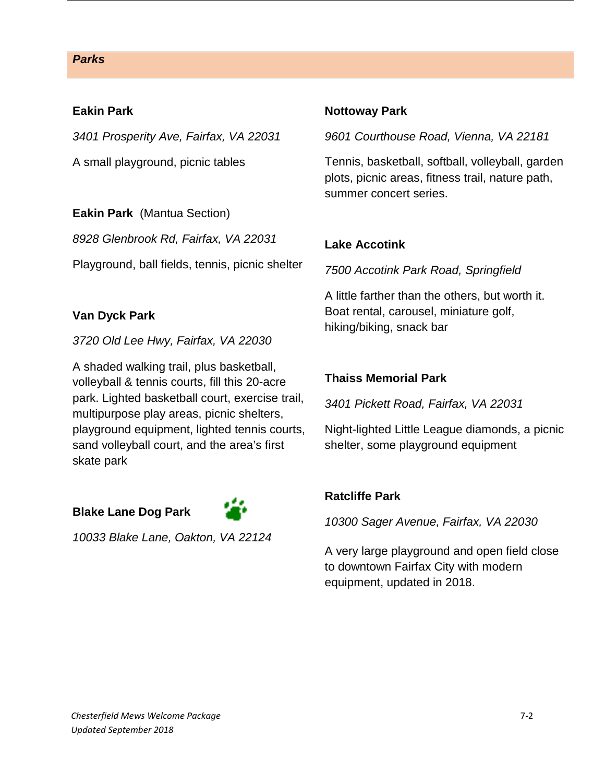#### *Parks*

#### **Eakin Park**

*3401 Prosperity Ave, Fairfax, VA 22031*

A small playground, picnic tables

**Eakin Park** (Mantua Section)

*8928 Glenbrook Rd, Fairfax, VA 22031*

Playground, ball fields, tennis, picnic shelter

## **Van Dyck Park**

*3720 Old Lee Hwy, Fairfax, VA 22030*

A shaded walking trail, plus basketball, volleyball & tennis courts, fill this 20-acre park. Lighted basketball court, exercise trail, multipurpose play areas, picnic shelters, playground equipment, lighted tennis courts, sand volleyball court, and the area's first skate park

# **Blake Lane Dog Park**



*10033 Blake Lane, Oakton, VA 22124*

## **Nottoway Park**

*9601 Courthouse Road, Vienna, VA 22181*

Tennis, basketball, softball, volleyball, garden plots, picnic areas, fitness trail, nature path, summer concert series.

## **Lake Accotink**

*7500 Accotink Park Road, Springfield* 

A little farther than the others, but worth it. Boat rental, carousel, miniature golf, hiking/biking, snack bar

## **Thaiss Memorial Park**

*3401 Pickett Road, Fairfax, VA 22031*

Night-lighted Little League diamonds, a picnic shelter, some playground equipment

## **Ratcliffe Park**

*10300 Sager Avenue, Fairfax, VA 22030*

A very large playground and open field close to downtown Fairfax City with modern equipment, updated in 2018.